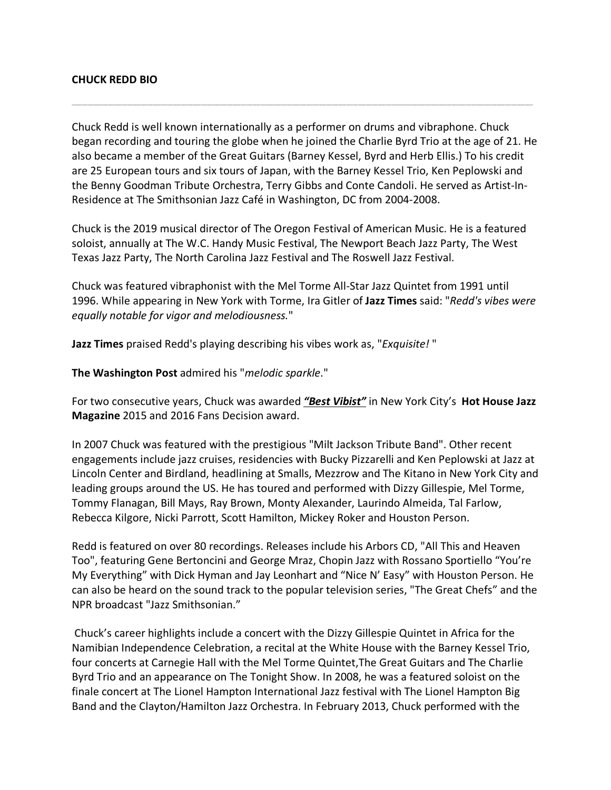## **CHUCK REDD BIO**

Chuck Redd is well known internationally as a performer on drums and vibraphone. Chuck began recording and touring the globe when he joined the Charlie Byrd Trio at the age of 21. He also became a member of the Great Guitars (Barney Kessel, Byrd and Herb Ellis.) To his credit are 25 European tours and six tours of Japan, with the Barney Kessel Trio, Ken Peplowski and the Benny Goodman Tribute Orchestra, Terry Gibbs and Conte Candoli. He served as Artist-In-Residence at The Smithsonian Jazz Café in Washington, DC from 2004-2008.

\_\_\_\_\_\_\_\_\_\_\_\_\_\_\_\_\_\_\_\_\_\_\_\_\_\_\_\_\_\_\_\_\_\_\_\_\_\_\_\_\_\_\_\_\_\_\_\_\_\_\_\_\_\_\_\_\_\_\_\_\_\_\_\_\_\_\_\_\_\_\_\_\_\_\_\_\_\_\_\_\_\_\_\_\_\_\_\_\_\_\_\_\_\_\_\_\_\_\_\_\_\_\_\_\_\_\_\_\_\_\_\_\_\_\_\_\_\_\_\_\_\_\_\_\_\_\_\_\_\_\_\_\_\_\_\_\_\_\_\_\_\_\_\_\_\_\_\_\_\_\_\_\_\_\_\_\_\_\_\_\_\_\_\_\_\_\_\_\_\_\_\_\_\_\_\_\_\_\_\_\_\_\_\_\_\_\_\_\_\_\_\_\_\_\_\_\_\_\_\_\_\_\_\_\_\_\_\_\_\_\_\_\_\_\_\_\_\_\_\_\_\_\_\_\_\_\_\_\_\_\_\_

Chuck is the 2019 musical director of The Oregon Festival of American Music. He is a featured soloist, annually at The W.C. Handy Music Festival, The Newport Beach Jazz Party, The West Texas Jazz Party, The North Carolina Jazz Festival and The Roswell Jazz Festival.

Chuck was featured vibraphonist with the Mel Torme All-Star Jazz Quintet from 1991 until 1996. While appearing in New York with Torme, Ira Gitler of **Jazz Times** said: "*Redd's vibes were equally notable for vigor and melodiousness.*"

**Jazz Times** praised Redd's playing describing his vibes work as, "*Exquisite!* "

**The Washington Post** admired his "*melodic sparkle*."

For two consecutive years, Chuck was awarded *"Best Vibist"* in New York City's **Hot House Jazz Magazine** 2015 and 2016 Fans Decision award.

In 2007 Chuck was featured with the prestigious "Milt Jackson Tribute Band". Other recent engagements include jazz cruises, residencies with Bucky Pizzarelli and Ken Peplowski at Jazz at Lincoln Center and Birdland, headlining at Smalls, Mezzrow and The Kitano in New York City and leading groups around the US. He has toured and performed with Dizzy Gillespie, Mel Torme, Tommy Flanagan, Bill Mays, Ray Brown, Monty Alexander, Laurindo Almeida, Tal Farlow, Rebecca Kilgore, Nicki Parrott, Scott Hamilton, Mickey Roker and Houston Person.

Redd is featured on over 80 recordings. Releases include his Arbors CD, "All This and Heaven Too", featuring Gene Bertoncini and George Mraz, Chopin Jazz with Rossano Sportiello "You're My Everything" with Dick Hyman and Jay Leonhart and "Nice N' Easy" with Houston Person. He can also be heard on the sound track to the popular television series, "The Great Chefs" and the NPR broadcast "Jazz Smithsonian."

Chuck's career highlights include a concert with the Dizzy Gillespie Quintet in Africa for the Namibian Independence Celebration, a recital at the White House with the Barney Kessel Trio, four concerts at Carnegie Hall with the Mel Torme Quintet,The Great Guitars and The Charlie Byrd Trio and an appearance on The Tonight Show. In 2008, he was a featured soloist on the finale concert at The Lionel Hampton International Jazz festival with The Lionel Hampton Big Band and the Clayton/Hamilton Jazz Orchestra. In February 2013, Chuck performed with the